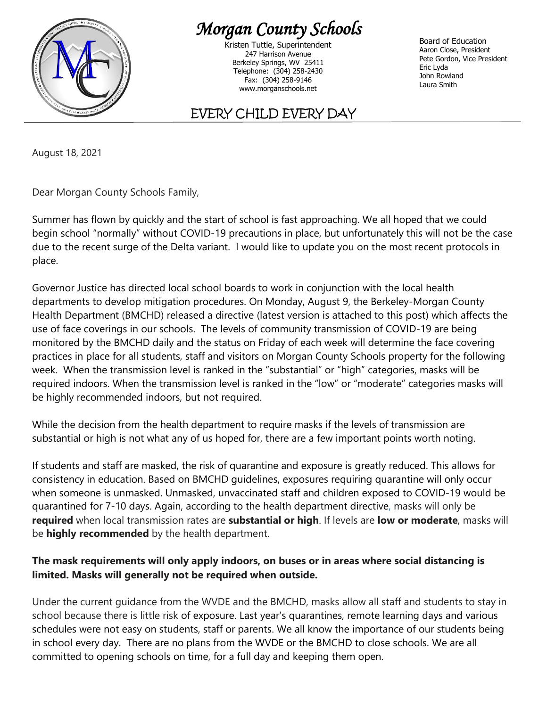

## *Morgan County Schools*

Kristen Tuttle, Superintendent 247 Harrison Avenue Berkeley Springs, WV 25411 Telephone: (304) 258-2430 Fax: (304) 258-9146 www.morganschools.net

Board of Education Aaron Close, President Pete Gordon, Vice President Eric Lyda John Rowland Laura Smith

## EVERY CHILD EVERY DAY

August 18, 2021

Dear Morgan County Schools Family,

Summer has flown by quickly and the start of school is fast approaching. We all hoped that we could begin school "normally" without COVID-19 precautions in place, but unfortunately this will not be the case due to the recent surge of the Delta variant. I would like to update you on the most recent protocols in place.

Governor Justice has directed local school boards to work in conjunction with the local health departments to develop mitigation procedures. On Monday, August 9, the Berkeley-Morgan County Health Department (BMCHD) released a directive (latest version is attached to this post) which affects the use of face coverings in our schools. The levels of community transmission of COVID-19 are being monitored by the BMCHD daily and the status on Friday of each week will determine the face covering practices in place for all students, staff and visitors on Morgan County Schools property for the following week. When the transmission level is ranked in the "substantial" or "high" categories, masks will be required indoors. When the transmission level is ranked in the "low" or "moderate" categories masks will be highly recommended indoors, but not required.

While the decision from the health department to require masks if the levels of transmission are substantial or high is not what any of us hoped for, there are a few important points worth noting.

If students and staff are masked, the risk of quarantine and exposure is greatly reduced. This allows for consistency in education. Based on BMCHD guidelines, exposures requiring quarantine will only occur when someone is unmasked. Unmasked, unvaccinated staff and children exposed to COVID-19 would be quarantined for 7-10 days. Again, according to the health department directive, masks will only be **required** when local transmission rates are **substantial or high**. If levels are **low or moderate**, masks will be **highly recommended** by the health department.

## **The mask requirements will only apply indoors, on buses or in areas where social distancing is limited. Masks will generally not be required when outside.**

Under the current guidance from the WVDE and the BMCHD, masks allow all staff and students to stay in school because there is little risk of exposure. Last year's quarantines, remote learning days and various schedules were not easy on students, staff or parents. We all know the importance of our students being in school every day. There are no plans from the WVDE or the BMCHD to close schools. We are all committed to opening schools on time, for a full day and keeping them open.